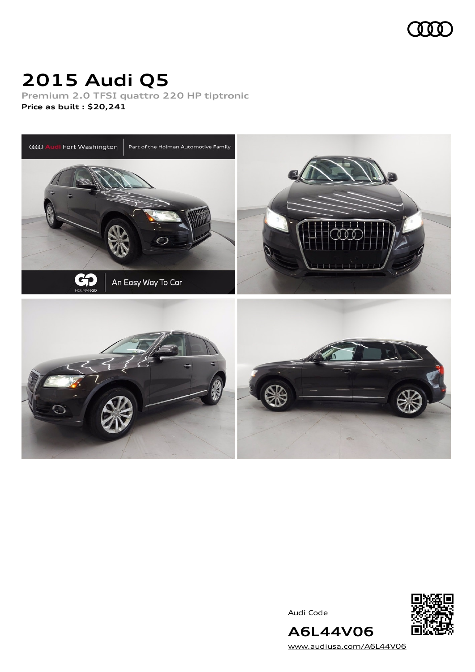

# **2015 Audi Q5**

**Premium 2.0 TFSI quattro 220 HP tiptronic Price as built [:](#page-10-0) \$20,241**



Audi Code



[www.audiusa.com/A6L44V06](https://www.audiusa.com/A6L44V06)

**A6L44V06**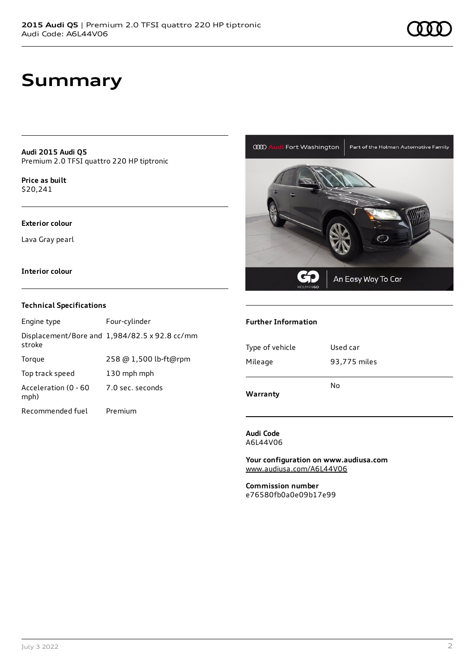### **Summary**

**Audi 2015 Audi Q5** Premium 2.0 TFSI quattro 220 HP tiptronic

**Price as buil[t](#page-10-0)** \$20,241

#### **Exterior colour**

Lava Gray pearl

#### **Interior colour**

#### **Technical Specifications**

| Engine type                  | Four-cylinder                                 |
|------------------------------|-----------------------------------------------|
| stroke                       | Displacement/Bore and 1,984/82.5 x 92.8 cc/mm |
| Torque                       | 258 @ 1,500 lb-ft@rpm                         |
| Top track speed              | 130 mph mph                                   |
| Acceleration (0 - 60<br>mph) | 7.0 sec. seconds                              |
| Recommended fuel             | Premium                                       |



#### **Further Information**

| Type of vehicle | Used car     |  |
|-----------------|--------------|--|
| Mileage         | 93,775 miles |  |
|                 | No           |  |
| Warranty        |              |  |

**Audi Code** A6L44V06

**Your configuration on www.audiusa.com** [www.audiusa.com/A6L44V06](https://www.audiusa.com/A6L44V06)

**Commission number** e76580fb0a0e09b17e99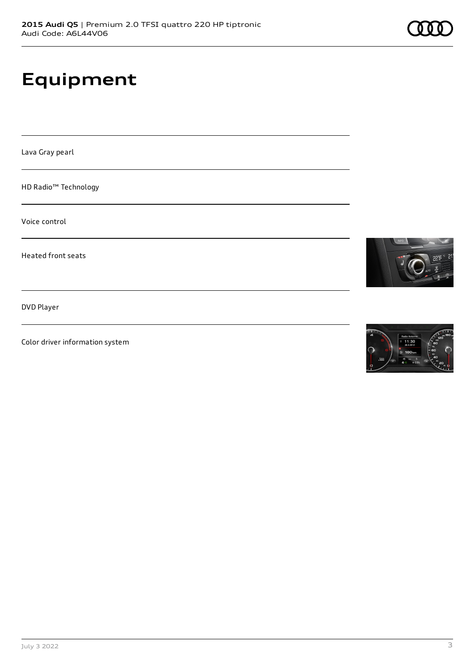# **Equipment**

Lava Gray pearl

HD Radio™ Technology

Voice control

Heated front seats

DVD Player

Color driver information system





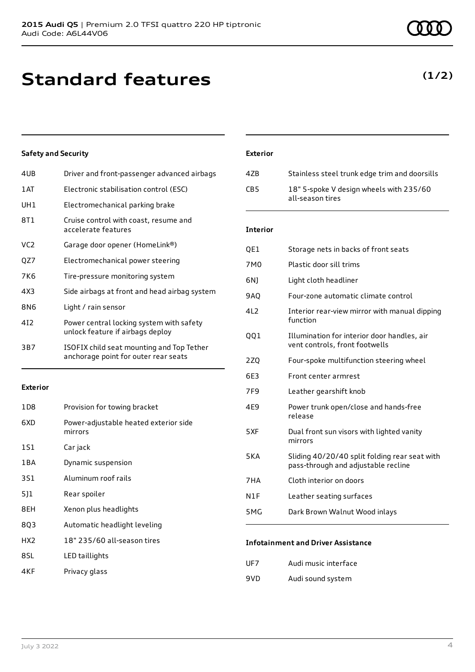### **Standard features**

### **Safety and Security**

| 4UB  | Driver and front-passenger advanced airbags                                       |
|------|-----------------------------------------------------------------------------------|
| 1 AT | Electronic stabilisation control (ESC)                                            |
| UH1  | Electromechanical parking brake                                                   |
| 8T1  | Cruise control with coast, resume and<br>accelerate features                      |
| VC2  | Garage door opener (HomeLink®)                                                    |
| QZ7  | Electromechanical power steering                                                  |
| 7K6  | Tire-pressure monitoring system                                                   |
| 4X3  | Side airbags at front and head airbag system                                      |
| 8N6  | Light / rain sensor                                                               |
| 412  | Power central locking system with safety<br>unlock feature if airbags deploy      |
| 3B7  | ISOFIX child seat mounting and Top Tether<br>anchorage point for outer rear seats |

#### **Exterior**

| 1 D 8           | Provision for towing bracket                     |
|-----------------|--------------------------------------------------|
| 6XD             | Power-adjustable heated exterior side<br>mirrors |
| 1S1             | Car jack                                         |
| 1 B A           | Dynamic suspension                               |
| 3S1             | Aluminum roof rails                              |
| 511             | Rear spoiler                                     |
| 8EH             | Xenon plus headlights                            |
| 803             | Automatic headlight leveling                     |
| HX <sub>2</sub> | 18" 235/60 all-season tires                      |
| 8SL             | LED taillights                                   |
| 4KF             | Privacy glass                                    |

### **Exterior**

| 47B | Stainless steel trunk edge trim and doorsills               |
|-----|-------------------------------------------------------------|
| CB5 | 18" 5-spoke V design wheels with 235/60<br>all-season tires |

#### **Interior**

| QE1             | Storage nets in backs of front seats                                                 |
|-----------------|--------------------------------------------------------------------------------------|
| 7M <sub>0</sub> | Plastic door sill trims                                                              |
| 6N)             | Light cloth headliner                                                                |
| 9AQ             | Four-zone automatic climate control                                                  |
| 4L2             | Interior rear-view mirror with manual dipping<br>function                            |
| QQ1             | Illumination for interior door handles, air<br>vent controls, front footwells        |
| 2ZQ             | Four-spoke multifunction steering wheel                                              |
| 6E3             | Front center armrest                                                                 |
| 7F9             | Leather gearshift knob                                                               |
| 4E9             | Power trunk open/close and hands-free<br>release                                     |
| 5XF             | Dual front sun visors with lighted vanity<br>mirrors                                 |
| 5KA             | Sliding 40/20/40 split folding rear seat with<br>pass-through and adjustable recline |
| 7HA             | Cloth interior on doors                                                              |
| N1F             | Leather seating surfaces                                                             |
| 5MG             | Dark Brown Walnut Wood inlays                                                        |

#### **Infotainment and Driver Assistance**

| UF7 | Audi music interface |
|-----|----------------------|
| 9VD | Audi sound system    |

### **(1/2)**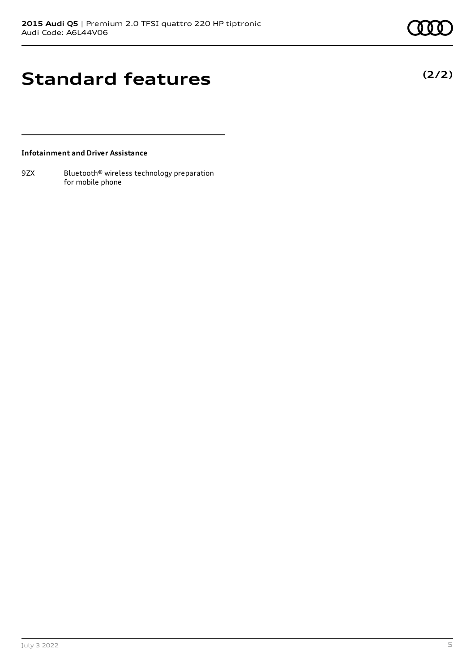**(2/2)**

## **Standard features**

### **Infotainment and Driver Assistance**

9ZX Bluetooth<sup>®</sup> wireless technology preparation for mobile phone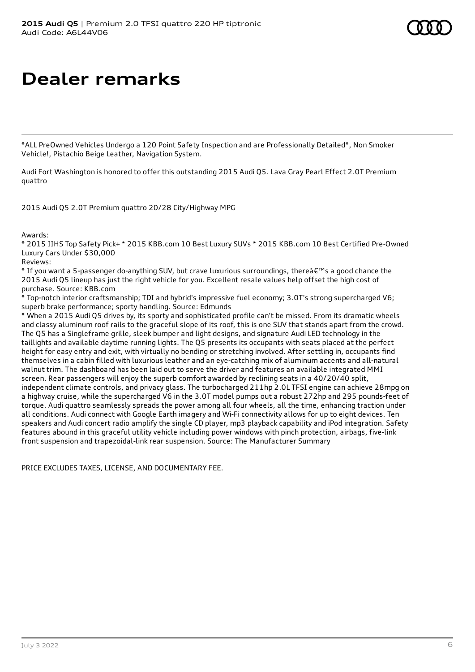# **Dealer remarks**

\*ALL PreOwned Vehicles Undergo a 120 Point Safety Inspection and are Professionally Detailed\*, Non Smoker Vehicle!, Pistachio Beige Leather, Navigation System.

Audi Fort Washington is honored to offer this outstanding 2015 Audi Q5. Lava Gray Pearl Effect 2.0T Premium quattro

2015 Audi Q5 2.0T Premium quattro 20/28 City/Highway MPG

Awards:

\* 2015 IIHS Top Safety Pick+ \* 2015 KBB.com 10 Best Luxury SUVs \* 2015 KBB.com 10 Best Certified Pre-Owned Luxury Cars Under \$30,000

Reviews:

\* If you want a 5-passenger do-anything SUV, but crave luxurious surroundings, there  $\hat{\mathbf{a}} \in \mathbb{R}^N$  a good chance the 2015 Audi Q5 lineup has just the right vehicle for you. Excellent resale values help offset the high cost of purchase. Source: KBB.com

\* Top-notch interior craftsmanship; TDI and hybrid's impressive fuel economy; 3.0T's strong supercharged V6; superb brake performance; sporty handling. Source: Edmunds

\* When a 2015 Audi Q5 drives by, its sporty and sophisticated profile can't be missed. From its dramatic wheels and classy aluminum roof rails to the graceful slope of its roof, this is one SUV that stands apart from the crowd. The Q5 has a Singleframe grille, sleek bumper and light designs, and signature Audi LED technology in the taillights and available daytime running lights. The Q5 presents its occupants with seats placed at the perfect height for easy entry and exit, with virtually no bending or stretching involved. After settling in, occupants find themselves in a cabin filled with luxurious leather and an eye-catching mix of aluminum accents and all-natural walnut trim. The dashboard has been laid out to serve the driver and features an available integrated MMI screen. Rear passengers will enjoy the superb comfort awarded by reclining seats in a 40/20/40 split, independent climate controls, and privacy glass. The turbocharged 211hp 2.0L TFSI engine can achieve 28mpg on a highway cruise, while the supercharged V6 in the 3.0T model pumps out a robust 272hp and 295 pounds-feet of torque. Audi quattro seamlessly spreads the power among all four wheels, all the time, enhancing traction under all conditions. Audi connect with Google Earth imagery and Wi-Fi connectivity allows for up to eight devices. Ten speakers and Audi concert radio amplify the single CD player, mp3 playback capability and iPod integration. Safety features abound in this graceful utility vehicle including power windows with pinch protection, airbags, five-link front suspension and trapezoidal-link rear suspension. Source: The Manufacturer Summary

PRICE EXCLUDES TAXES, LICENSE, AND DOCUMENTARY FEE.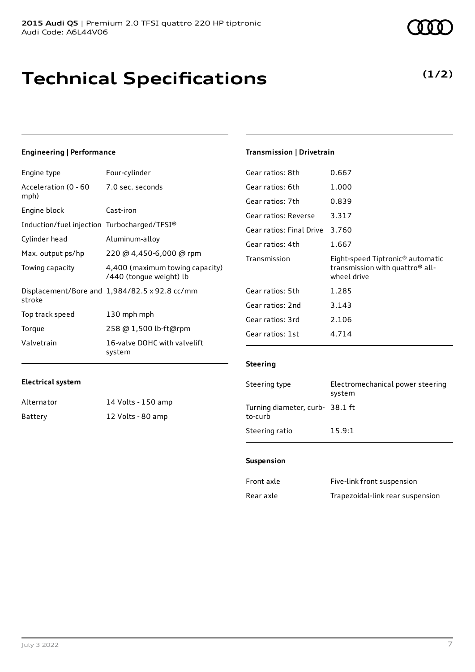# **Technical Specifications**

**(1/2)**

### **Engineering | Performance**

**Electrical system**

Alternator 14 Volts - 150 amp Battery 12 Volts - 80 amp

| Engine type                                 | Four-cylinder                                              |
|---------------------------------------------|------------------------------------------------------------|
| Acceleration (0 - 60<br>mph)                | 7.0 sec. seconds                                           |
| Engine block                                | Cast-iron                                                  |
| Induction/fuel injection Turbocharged/TFSI® |                                                            |
| Cylinder head                               | Aluminum-alloy                                             |
| Max. output ps/hp                           | 220 @ 4,450-6,000 @ rpm                                    |
| Towing capacity                             | 4,400 (maximum towing capacity)<br>/440 (tongue weight) lb |
| stroke                                      | Displacement/Bore and $1,984/82.5 \times 92.8$ cc/mm       |
| Top track speed                             | 130 mph mph                                                |
| Torque                                      | 258 @ 1,500 lb-ft@rpm                                      |
| Valvetrain                                  | 16-valve DOHC with valvelift<br>system                     |

### **Transmission | Drivetrain**

| Gear ratios: 8th         | 0.667                                                                                                      |
|--------------------------|------------------------------------------------------------------------------------------------------------|
| Gear ratios: 6th         | 1.000                                                                                                      |
| Gear ratios: 7th         | 0.839                                                                                                      |
| Gear ratios: Reverse     | 3.317                                                                                                      |
| Gear ratios: Final Drive | 3.760                                                                                                      |
| Gear ratios: 4th         | 1.667                                                                                                      |
|                          |                                                                                                            |
| Transmission             | Eight-speed Tiptronic <sup>®</sup> automatic<br>transmission with quattro <sup>®</sup> all-<br>wheel drive |
| Gear ratios: 5th         | 1.285                                                                                                      |
| Gear ratios: 2nd         | 3.143                                                                                                      |
| Gear ratios: 3rd         | 2.106                                                                                                      |

#### **Steering**

| Steering type                             | Electromechanical power steering<br>system |
|-------------------------------------------|--------------------------------------------|
| Turning diameter, curb-38.1 ft<br>to-curb |                                            |
| Steering ratio                            | 15.9:1                                     |

#### **Suspension**

| Front axle | Five-link front suspension       |
|------------|----------------------------------|
| Rear axle  | Trapezoidal-link rear suspension |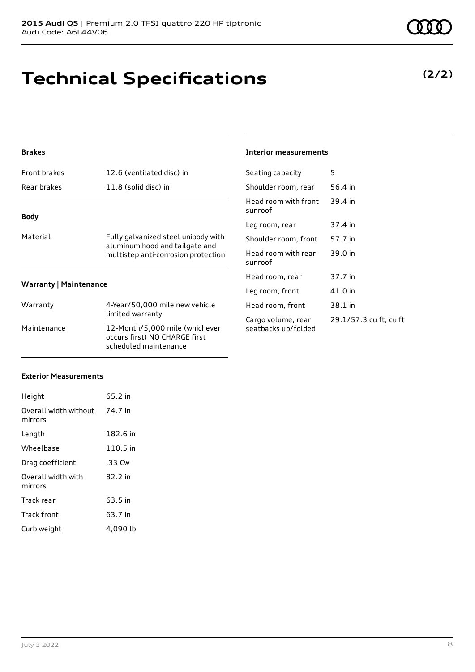# **Technical Specifications**

### **Brakes**

| Front brakes                  | 12.6 (ventilated disc) in                                             | Seating ca           |
|-------------------------------|-----------------------------------------------------------------------|----------------------|
| Rear brakes                   | 11.8 (solid disc) in                                                  | Shoulder re          |
| <b>Body</b>                   |                                                                       | Head room<br>sunroof |
|                               |                                                                       | Leg room,            |
| Material                      | Fully galvanized steel unibody with                                   | Shoulder re          |
|                               | aluminum hood and tailgate and<br>multistep anti-corrosion protection | Head room<br>sunroof |
|                               |                                                                       | Head room            |
| <b>Warranty   Maintenance</b> | Leg room,                                                             |                      |
| Warranty                      | 4-Year/50,000 mile new vehicle                                        | Head room            |
|                               | limited warranty                                                      | Cargo volu           |

### Maintenance 12-Month/5,000 mile (whichever occurs first) NO CHARGE first scheduled maintenance

### **Interior measurements**

| Seating capacity                          | 5                      |
|-------------------------------------------|------------------------|
| Shoulder room, rear                       | 56.4 in                |
| Head room with front<br>sunroof           | 39.4 in                |
| Leg room, rear                            | 37.4 in                |
| Shoulder room, front                      | 57.7 in                |
| Head room with rear<br>sunroof            | 39.0 in                |
| Head room, rear                           | 37.7 in                |
| Leg room, front                           | 41.0 in                |
| Head room, front                          | 38.1 in                |
| Cargo volume, rear<br>seatbacks up/folded | 29.1/57.3 cu ft, cu ft |

### **Exterior Measurements**

| Height                           | 65.2 in  |
|----------------------------------|----------|
| Overall width without<br>mirrors | 74.7 in  |
| Length                           | 182.6 in |
| Wheelbase                        | 110.5 in |
| Drag coefficient                 | .33 Cw   |
| Overall width with<br>mirrors    | 82.2 in  |
| Track rear                       | 63.5 in  |
| <b>Track front</b>               | 63.7 in  |
| Curb weight                      | 4,090 lb |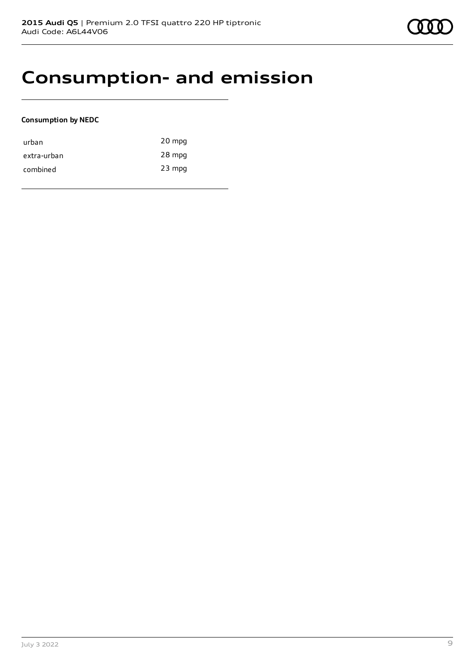### **Consumption- and emission**

### **Consumption by NEDC**

| urban       | 20 mpg   |
|-------------|----------|
| extra-urban | 28 mpg   |
| combined    | $23$ mpg |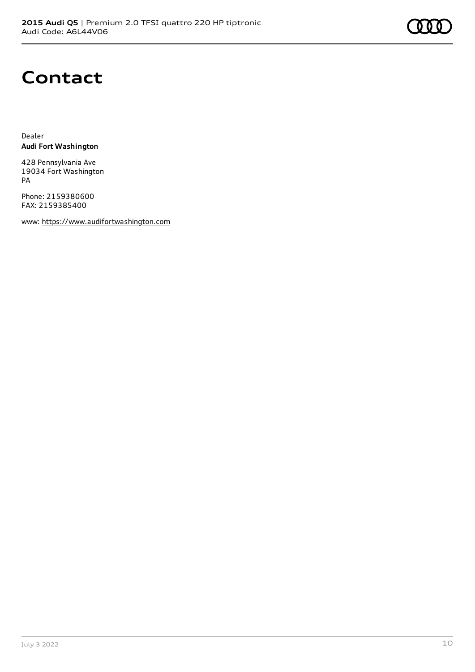

### **Contact**

Dealer **Audi Fort Washington**

428 Pennsylvania Ave 19034 Fort Washington PA

Phone: 2159380600 FAX: 2159385400

www: [https://www.audifortwashington.com](https://www.audifortwashington.com/)